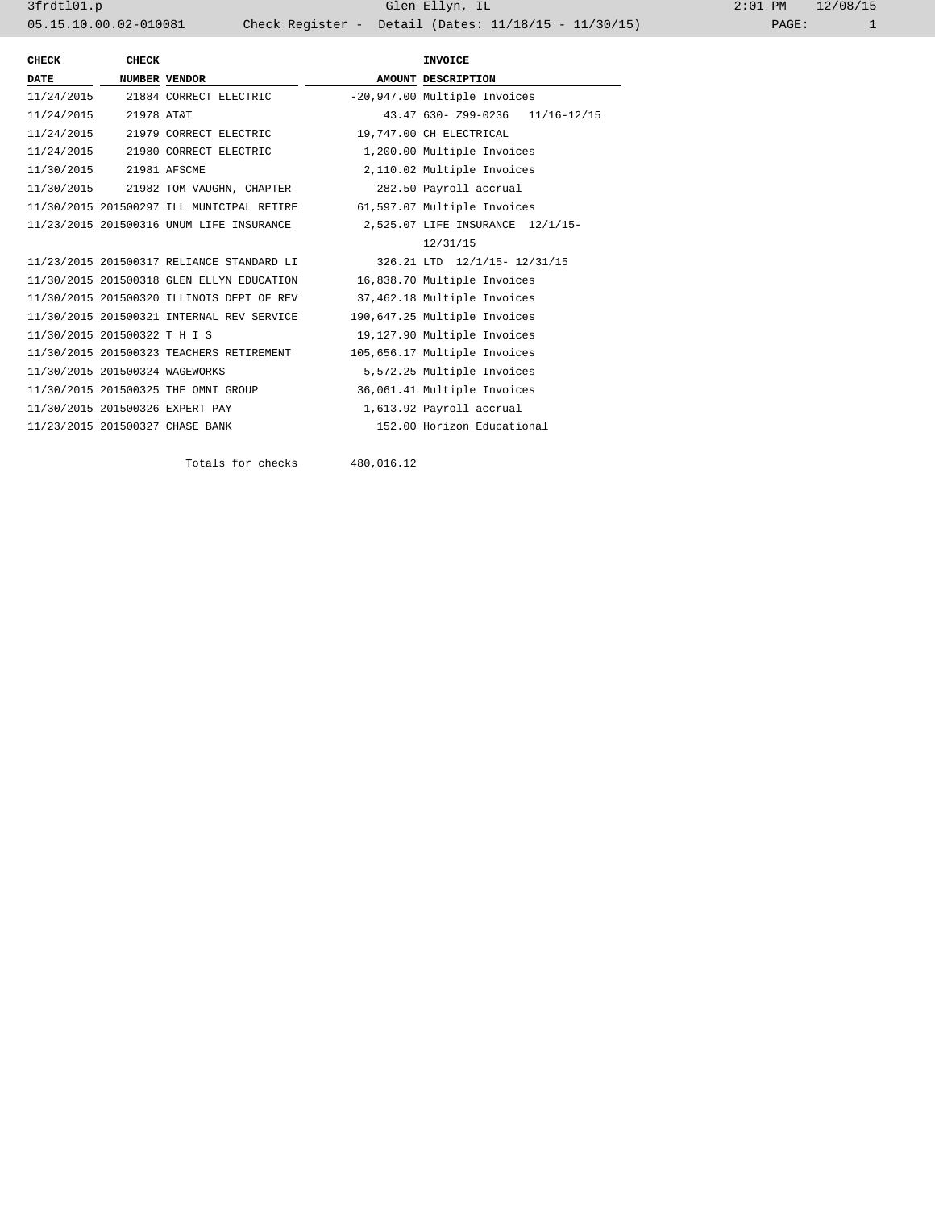3frdtl01.p Glen Ellyn, IL 2:01 PM 12/08/15 05.15.10.00.02-010081 Check Register - Detail (Dates: 11/18/15 - 11/30/15)

| <b>CHECK</b>                   | <b>CHECK</b> | <b>INVOICE</b>                                                        |                         |                                  |
|--------------------------------|--------------|-----------------------------------------------------------------------|-------------------------|----------------------------------|
| DATE                           |              | <b>NUMBER VENDOR</b>                                                  |                         | AMOUNT DESCRIPTION               |
|                                |              | 11/24/2015 21884 CORRECT ELECTRIC                                     |                         | -20,947.00 Multiple Invoices     |
| 11/24/2015 21978 AT&T          |              |                                                                       |                         | 43.47 630- Z99-0236 11/16-12/15  |
|                                |              | 11/24/2015 21979 CORRECT ELECTRIC                                     | 19,747.00 CH ELECTRICAL |                                  |
|                                |              | 11/24/2015 21980 CORRECT ELECTRIC                                     |                         | 1,200.00 Multiple Invoices       |
| 11/30/2015 21981 AFSCME        |              |                                                                       |                         | 2,110.02 Multiple Invoices       |
|                                |              | 11/30/2015 21982 TOM VAUGHN, CHAPTER                                  |                         | 282.50 Payroll accrual           |
|                                |              | 11/30/2015 201500297 ILL MUNICIPAL RETIRE 61,597.07 Multiple Invoices |                         |                                  |
|                                |              | 11/23/2015 201500316 UNUM LIFE INSURANCE                              |                         | 2,525.07 LIFE INSURANCE 12/1/15- |
|                                |              |                                                                       |                         | 12/31/15                         |
|                                |              | 11/23/2015 201500317 RELIANCE STANDARD LI                             |                         | 326.21 LTD 12/1/15- 12/31/15     |
|                                |              | 11/30/2015 201500318 GLEN ELLYN EDUCATION                             |                         | 16,838.70 Multiple Invoices      |
|                                |              | 11/30/2015 201500320 ILLINOIS DEPT OF REV                             |                         | 37,462.18 Multiple Invoices      |
|                                |              | 11/30/2015 201500321 INTERNAL REV SERVICE                             |                         | 190,647.25 Multiple Invoices     |
| 11/30/2015 201500322 T H I S   |              |                                                                       |                         | 19,127.90 Multiple Invoices      |
|                                |              | 11/30/2015 201500323 TEACHERS RETIREMENT                              |                         | 105,656.17 Multiple Invoices     |
| 11/30/2015 201500324 WAGEWORKS |              |                                                                       |                         | 5,572.25 Multiple Invoices       |
|                                |              | 11/30/2015 201500325 THE OMNI GROUP                                   |                         | 36,061.41 Multiple Invoices      |
|                                |              | 11/30/2015 201500326 EXPERT PAY                                       |                         | 1,613.92 Payroll accrual         |
|                                |              | 11/23/2015 201500327 CHASE BANK                                       |                         | 152.00 Horizon Educational       |
|                                |              |                                                                       |                         |                                  |

Totals for checks 480,016.12